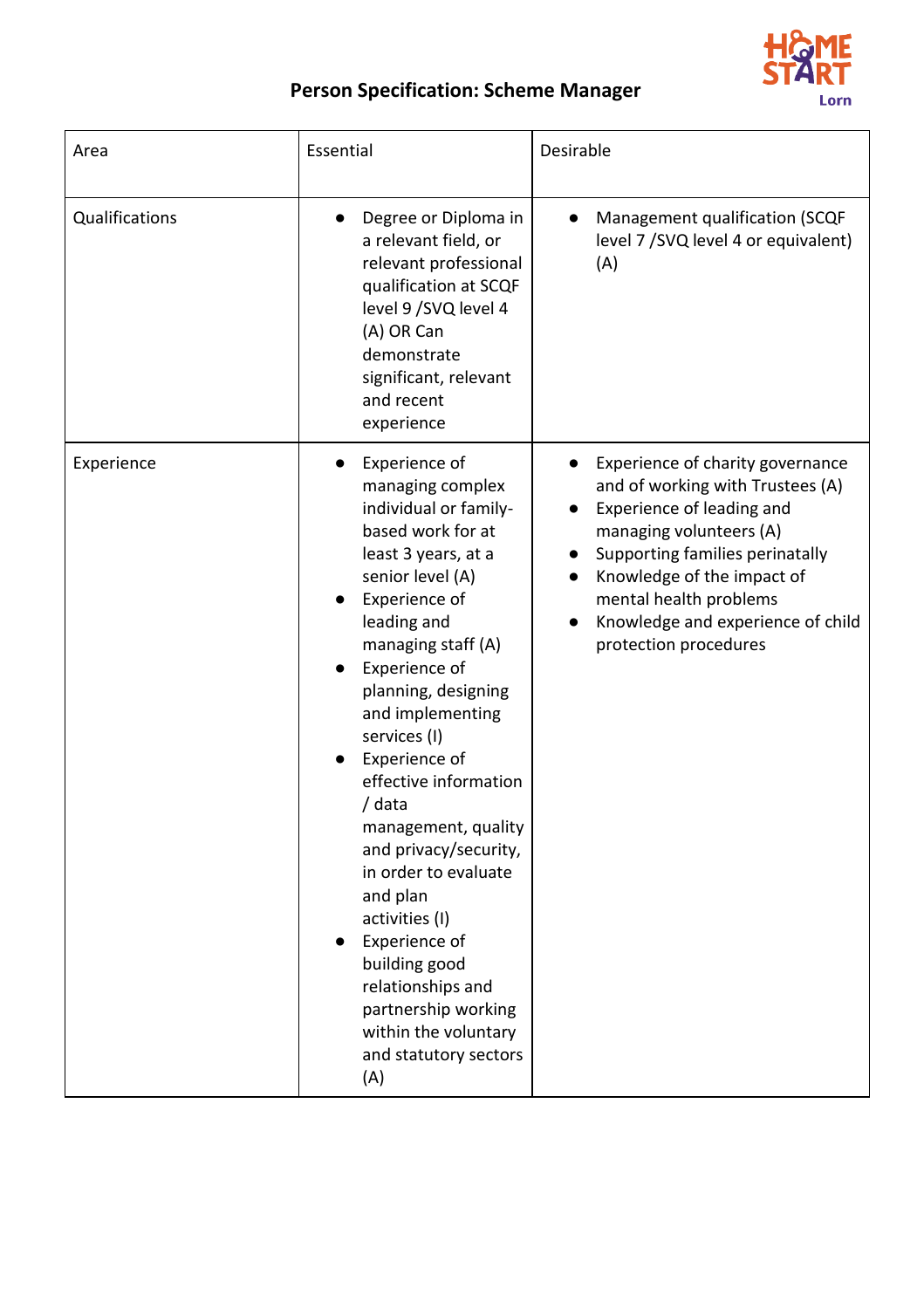

## **Person Specification: Scheme Manager**

| Area           | Essential                                                                                                                                                                                                                                                                                                                                                                                                                                                                                                                                                    | Desirable                                                                                                                                                                                                                                                                                          |
|----------------|--------------------------------------------------------------------------------------------------------------------------------------------------------------------------------------------------------------------------------------------------------------------------------------------------------------------------------------------------------------------------------------------------------------------------------------------------------------------------------------------------------------------------------------------------------------|----------------------------------------------------------------------------------------------------------------------------------------------------------------------------------------------------------------------------------------------------------------------------------------------------|
| Qualifications | Degree or Diploma in<br>a relevant field, or<br>relevant professional<br>qualification at SCQF<br>level 9 / SVQ level 4<br>(A) OR Can<br>demonstrate<br>significant, relevant<br>and recent<br>experience                                                                                                                                                                                                                                                                                                                                                    | Management qualification (SCQF<br>level 7 / SVQ level 4 or equivalent)<br>(A)                                                                                                                                                                                                                      |
| Experience     | Experience of<br>managing complex<br>individual or family-<br>based work for at<br>least 3 years, at a<br>senior level (A)<br>Experience of<br>leading and<br>managing staff (A)<br>Experience of<br>planning, designing<br>and implementing<br>services (I)<br>Experience of<br>effective information<br>/ data<br>management, quality<br>and privacy/security,<br>in order to evaluate<br>and plan<br>activities (I)<br>Experience of<br>building good<br>relationships and<br>partnership working<br>within the voluntary<br>and statutory sectors<br>(A) | Experience of charity governance<br>and of working with Trustees (A)<br>Experience of leading and<br>$\bullet$<br>managing volunteers (A)<br>Supporting families perinatally<br>Knowledge of the impact of<br>mental health problems<br>Knowledge and experience of child<br>protection procedures |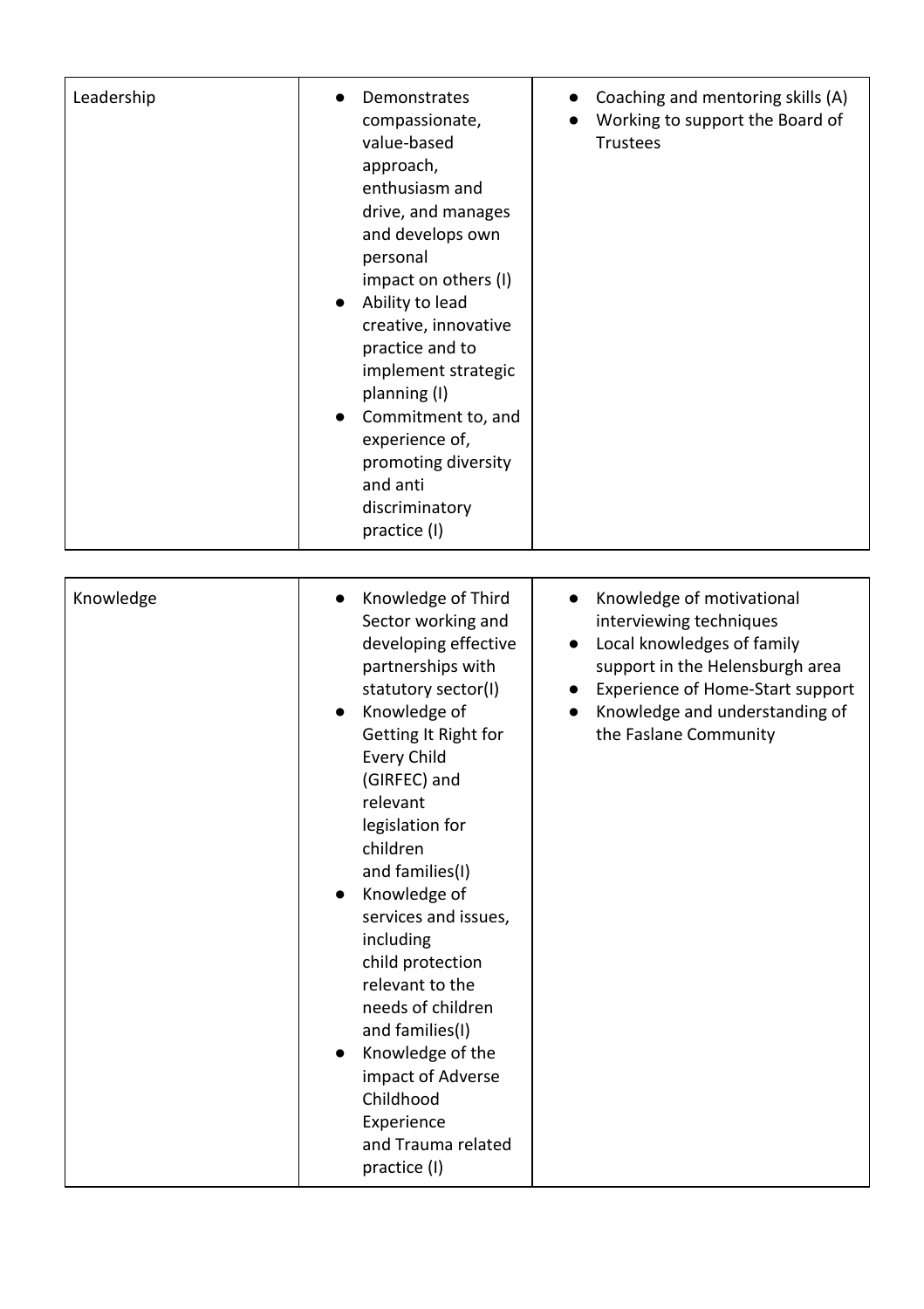| Leadership | Demonstrates<br>compassionate,<br>value-based<br>approach,<br>enthusiasm and<br>drive, and manages<br>and develops own<br>personal<br>impact on others (I)<br>Ability to lead<br>$\bullet$<br>creative, innovative<br>practice and to<br>implement strategic<br>planning (I)<br>Commitment to, and<br>$\bullet$<br>experience of,<br>promoting diversity<br>and anti<br>discriminatory<br>practice (I)                                                                                                                                        | Coaching and mentoring skills (A)<br>Working to support the Board of<br><b>Trustees</b>                                                                                                                                           |
|------------|-----------------------------------------------------------------------------------------------------------------------------------------------------------------------------------------------------------------------------------------------------------------------------------------------------------------------------------------------------------------------------------------------------------------------------------------------------------------------------------------------------------------------------------------------|-----------------------------------------------------------------------------------------------------------------------------------------------------------------------------------------------------------------------------------|
| Knowledge  | Knowledge of Third<br>$\bullet$<br>Sector working and<br>developing effective<br>partnerships with<br>statutory sector(I)<br>Knowledge of<br>Getting It Right for<br><b>Every Child</b><br>(GIRFEC) and<br>relevant<br>legislation for<br>children<br>and families(I)<br>Knowledge of<br>$\bullet$<br>services and issues,<br>including<br>child protection<br>relevant to the<br>needs of children<br>and families(I)<br>Knowledge of the<br>$\bullet$<br>impact of Adverse<br>Childhood<br>Experience<br>and Trauma related<br>practice (I) | Knowledge of motivational<br>$\bullet$<br>interviewing techniques<br>Local knowledges of family<br>support in the Helensburgh area<br>Experience of Home-Start support<br>Knowledge and understanding of<br>the Faslane Community |